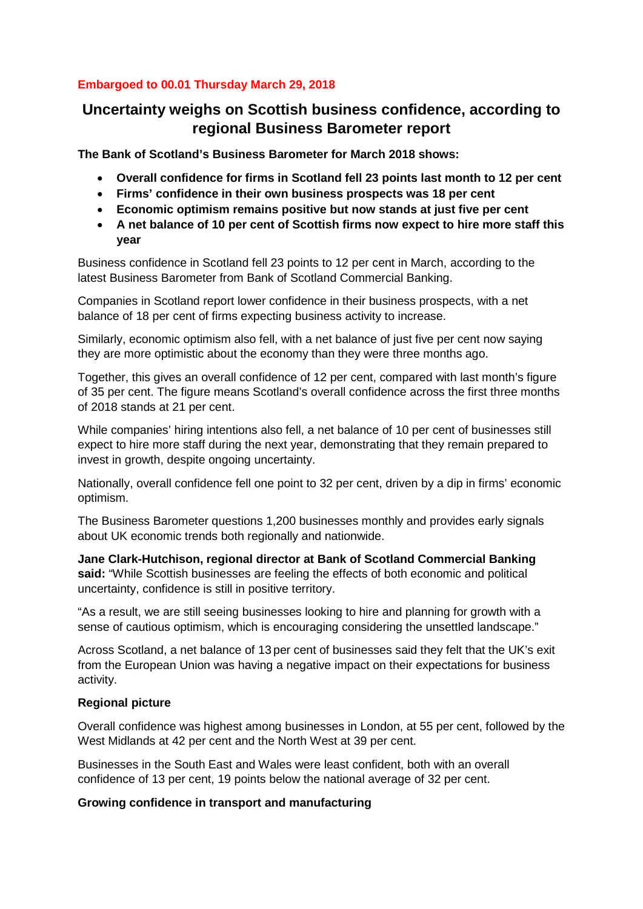## **Embargoed to 00.01 Thursday March 29, 2018**

# **Uncertainty weighs on Scottish business confidence, according to regional Business Barometer report**

**The Bank of Scotland's Business Barometer for March 2018 shows:** 

- **Overall confidence for firms in Scotland fell 23 points last month to 12 per cent**
- **Firms' confidence in their own business prospects was 18 per cent**
- **Economic optimism remains positive but now stands at just five per cent**
- **A net balance of 10 per cent of Scottish firms now expect to hire more staff this year**

Business confidence in Scotland fell 23 points to 12 per cent in March, according to the latest Business Barometer from Bank of Scotland Commercial Banking.

Companies in Scotland report lower confidence in their business prospects, with a net balance of 18 per cent of firms expecting business activity to increase.

Similarly, economic optimism also fell, with a net balance of just five per cent now saying they are more optimistic about the economy than they were three months ago.

Together, this gives an overall confidence of 12 per cent, compared with last month's figure of 35 per cent. The figure means Scotland's overall confidence across the first three months of 2018 stands at 21 per cent.

While companies' hiring intentions also fell, a net balance of 10 per cent of businesses still expect to hire more staff during the next year, demonstrating that they remain prepared to invest in growth, despite ongoing uncertainty.

Nationally, overall confidence fell one point to 32 per cent, driven by a dip in firms' economic optimism.

The Business Barometer questions 1,200 businesses monthly and provides early signals about UK economic trends both regionally and nationwide.

**Jane Clark-Hutchison, regional director at Bank of Scotland Commercial Banking said:** "While Scottish businesses are feeling the effects of both economic and political uncertainty, confidence is still in positive territory.

"As a result, we are still seeing businesses looking to hire and planning for growth with a sense of cautious optimism, which is encouraging considering the unsettled landscape."

Across Scotland, a net balance of 13 per cent of businesses said they felt that the UK's exit from the European Union was having a negative impact on their expectations for business activity.

#### **Regional picture**

Overall confidence was highest among businesses in London, at 55 per cent, followed by the West Midlands at 42 per cent and the North West at 39 per cent.

Businesses in the South East and Wales were least confident, both with an overall confidence of 13 per cent, 19 points below the national average of 32 per cent.

#### **Growing confidence in transport and manufacturing**